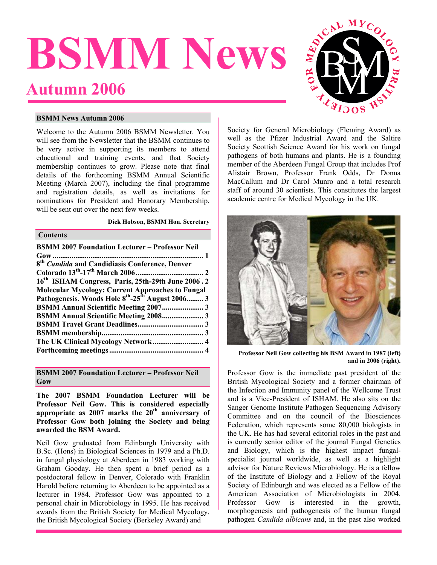# <span id="page-0-0"></span>**BSMM News Autumn 2006**



#### **BSMM News Autumn 2006**

Welcome to the Autumn 2006 BSMM Newsletter. You will see from the Newsletter that the BSMM continues to be very active in supporting its members to attend educational and training events, and that Society membership continues to grow. Please note that final details of the forthcoming BSMM Annual Scientific Meeting (March 2007), including the final programme and registration details, as well as invitations for nominations for President and Honorary Membership, will be sent out over the next few weeks.

#### **Dick Hobson, BSMM Hon. Secretary**

### **Contents**

| <b>BSMM 2007 Foundation Lecturer – Professor Neil</b>                    |  |
|--------------------------------------------------------------------------|--|
|                                                                          |  |
| 8 <sup>th</sup> Candida and Candidiasis Conference, Denver               |  |
|                                                                          |  |
| 16th ISHAM Congress, Paris, 25th-29th June 2006.2                        |  |
| <b>Molecular Mycology: Current Approaches to Fungal</b>                  |  |
| Pathogenesis. Woods Hole 8 <sup>th</sup> -25 <sup>th</sup> August 2006 3 |  |
| <b>BSMM Annual Scientific Meeting 2007 3</b>                             |  |
| BSMM Annual Scientific Meeting 2008 3                                    |  |
|                                                                          |  |
|                                                                          |  |
|                                                                          |  |
|                                                                          |  |
|                                                                          |  |

**BSMM 2007 Foundation Lecturer – Professor Neil Gow** 

**The 2007 BSMM Foundation Lecturer will be Professor Neil Gow. This is considered especially** appropriate as 2007 marks the 20<sup>th</sup> anniversary of **Professor Gow both joining the Society and being awarded the BSM Award.**

Neil Gow graduated from Edinburgh University with B.Sc. (Hons) in Biological Sciences in 1979 and a Ph.D. in fungal physiology at Aberdeen in 1983 working with Graham Gooday. He then spent a brief period as a postdoctoral fellow in Denver, Colorado with Franklin Harold before returning to Aberdeen to be appointed as a lecturer in 1984. Professor Gow was appointed to a personal chair in Microbiology in 1995. He has received awards from the British Society for Medical Mycology, the British Mycological Society (Berkeley Award) and

Society for General Microbiology (Fleming Award) as well as the Pfizer Industrial Award and the Saltire Society Scottish Science Award for his work on fungal pathogens of both humans and plants. He is a founding member of the Aberdeen Fungal Group that includes Prof Alistair Brown, Professor Frank Odds, Dr Donna MacCallum and Dr Carol Munro and a total research staff of around 30 scientists. This constitutes the largest academic centre for Medical Mycology in the UK.



Professor Neil Gow collecting his BSM Award in 1987 (left) **and in 2006 (right).** 

Professor Gow is the immediate past president of the British Mycological Society and a former chairman of the Infection and Immunity panel of the Wellcome Trust and is a Vice-President of ISHAM. He also sits on the Sanger Genome Institute Pathogen Sequencing Advisory Committee and on the council of the Biosciences Federation, which represents some 80,000 biologists in the UK. He has had several editorial roles in the past and is currently senior editor of the journal Fungal Genetics and Biology, which is the highest impact fungalspecialist journal worldwide, as well as a highlight advisor for Nature Reviews Microbiology. He is a fellow of the Institute of Biology and a Fellow of the Royal Society of Edinburgh and was elected as a Fellow of the American Association of Microbiologists in 2004. Professor Gow is interested in the growth, morphogenesis and pathogenesis of the human fungal pathogen *Candida albicans* and, in the past also worked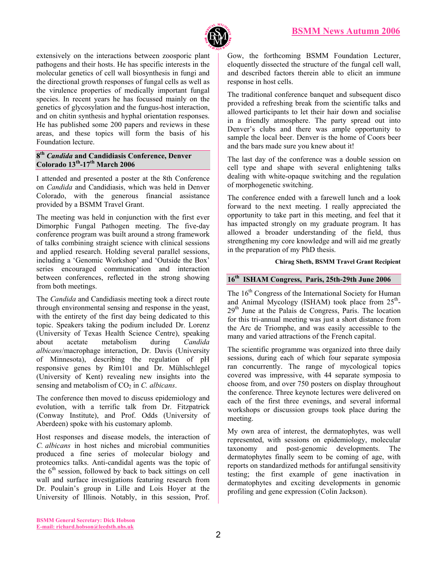

<span id="page-1-0"></span>extensively on the interactions between zoosporic plant pathogens and their hosts. He has specific interests in the molecular genetics of cell wall biosynthesis in fungi and the directional growth responses of fungal cells as well as the virulence properties of medically important fungal species. In recent years he has focussed mainly on the genetics of glycosylation and the fungus-host interaction, and on chitin synthesis and hyphal orientation responses. He has published some 200 papers and reviews in these areas, and these topics will form the basis of his Foundation lecture.

#### **8th** *Candida* **and Candidiasis Conference, Denver Colorado 13th-17th March 2006**

I attended and presented a poster at the 8th Conference on *Candida* and Candidiasis, which was held in Denver Colorado, with the generous financial assistance provided by a BSMM Travel Grant.

The meeting was held in conjunction with the first ever Dimorphic Fungal Pathogen meeting. The five-day conference program was built around a strong framework of talks combining straight science with clinical sessions and applied research. Holding several parallel sessions, including a 'Genomic Workshop' and 'Outside the Box' series encouraged communication and interaction between conferences, reflected in the strong showing from both meetings.

The *Candida* and Candidiasis meeting took a direct route through environmental sensing and response in the yeast, with the entirety of the first day being dedicated to this topic. Speakers taking the podium included Dr. Lorenz (University of Texas Health Science Centre), speaking about acetate metabolism during *Candida albicans*/macrophage interaction, Dr. Davis (University of Minnesota), describing the regulation of pH responsive genes by Rim101 and Dr. Mühlschlegel (University of Kent) revealing new insights into the sensing and metabolism of CO<sub>2</sub> in *C. albicans*.

The conference then moved to discuss epidemiology and evolution, with a terrific talk from Dr. Fitzpatrick (Conway Institute), and Prof. Odds (University of Aberdeen) spoke with his customary aplomb.

Host responses and disease models, the interaction of *C. albicans* in host niches and microbial communities produced a fine series of molecular biology and proteomics talks. Anti-candidal agents was the topic of the  $6<sup>th</sup>$  session, followed by back to back sittings on cell wall and surface investigations featuring research from Dr. Poulain's group in Lille and Lois Hoyer at the University of Illinois. Notably, in this session, Prof.

Gow, the forthcoming BSMM Foundation Lecturer, eloquently dissected the structure of the fungal cell wall, and described factors therein able to elicit an immune response in host cells.

The traditional conference banquet and subsequent disco provided a refreshing break from the scientific talks and allowed participants to let their hair down and socialise in a friendly atmosphere. The party spread out into Denver's clubs and there was ample opportunity to sample the local beer. Denver is the home of Coors beer and the bars made sure you knew about it!

The last day of the conference was a double session on cell type and shape with several enlightening talks dealing with white-opaque switching and the regulation of morphogenetic switching.

The conference ended with a farewell lunch and a look forward to the next meeting. I really appreciated the opportunity to take part in this meeting, and feel that it has impacted strongly on my graduate program. It has allowed a broader understanding of the field, thus strengthening my core knowledge and will aid me greatly in the preparation of my PhD thesis.

#### **Chirag Sheth, BSMM Travel Grant Recipient**

## **16th ISHAM Congress, Paris, 25th-29th June 2006**

The 16<sup>th</sup> Congress of the International Society for Human and Animal Mycology (ISHAM) took place from  $25<sup>th</sup>$ -29<sup>th</sup> June at the Palais de Congress, Paris. The location for this tri-annual meeting was just a short distance from the Arc de Triomphe, and was easily accessible to the many and varied attractions of the French capital.

The scientific programme was organized into three daily sessions, during each of which four separate symposia ran concurrently. The range of mycological topics covered was impressive, with 44 separate symposia to choose from, and over 750 posters on display throughout the conference. Three keynote lectures were delivered on each of the first three evenings, and several informal workshops or discussion groups took place during the meeting.

My own area of interest, the dermatophytes, was well represented, with sessions on epidemiology, molecular taxonomy and post-genomic developments. The dermatophytes finally seem to be coming of age, with reports on standardized methods for antifungal sensitivity testing; the first example of gene inactivation in dermatophytes and exciting developments in genomic profiling and gene expression (Colin Jackson).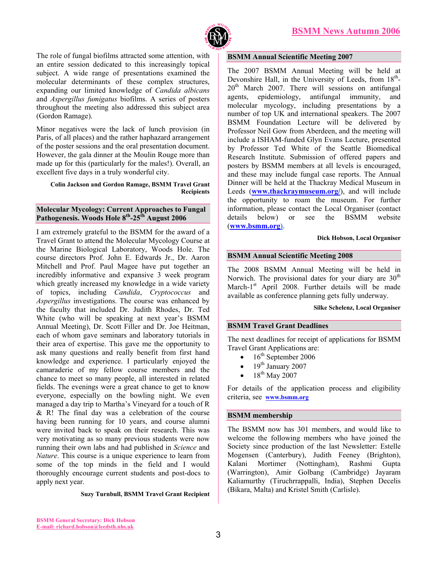

<span id="page-2-0"></span>The role of fungal biofilms attracted some attention, with an entire session dedicated to this increasingly topical subject. A wide range of presentations examined the molecular determinants of these complex structures, expanding our limited knowledge of *Candida albicans* and *Aspergillus fumigatus* biofilms. A series of posters throughout the meeting also addressed this subject area (Gordon Ramage).

Minor negatives were the lack of lunch provision (in Paris, of all places) and the rather haphazard arrangement of the poster sessions and the oral presentation document. However, the gala dinner at the Moulin Rouge more than made up for this (particularly for the males!). Overall, an excellent five days in a truly wonderful city.

#### **Colin Jackson and Gordon Ramage, BSMM Travel Grant Recipients**

#### **Molecular Mycology: Current Approaches to Fungal** Pathogenesis. Woods Hole 8<sup>th</sup>-25<sup>th</sup> August 2006

I am extremely grateful to the BSMM for the award of a Travel Grant to attend the Molecular Mycology Course at the Marine Biological Laboratory, Woods Hole. The course directors Prof. John E. Edwards Jr., Dr. Aaron Mitchell and Prof. Paul Magee have put together an incredibly informative and expansive 3 week program which greatly increased my knowledge in a wide variety of topics, including *Candida*, *Cryptococcus* and *Aspergillus* investigations. The course was enhanced by the faculty that included Dr. Judith Rhodes, Dr. Ted White (who will be speaking at next year's BSMM Annual Meeting), Dr. Scott Filler and Dr. Joe Heitman, each of whom gave seminars and laboratory tutorials in their area of expertise. This gave me the opportunity to ask many questions and really benefit from first hand knowledge and experience. I particularly enjoyed the camaraderie of my fellow course members and the chance to meet so many people, all interested in related fields. The evenings were a great chance to get to know everyone, especially on the bowling night. We even managed a day trip to Martha's Vineyard for a touch of R  $& R!$  The final day was a celebration of the course having been running for 10 years, and course alumni were invited back to speak on their research. This was very motivating as so many previous students were now running their own labs and had published in *Science* and *Nature*. This course is a unique experience to learn from some of the top minds in the field and I would thoroughly encourage current students and post-docs to apply next year.

#### **BSMM Annual Scientific Meeting 2007**

The 2007 BSMM Annual Meeting will be held at Devonshire Hall, in the University of Leeds, from  $18<sup>th</sup>$ - $20<sup>th</sup>$  March 2007. There will sessions on antifungal agents, epidemiology, antifungal immunity, and molecular mycology, including presentations by a number of top UK and international speakers. The 2007 BSMM Foundation Lecture will be delivered by Professor Neil Gow from Aberdeen, and the meeting will include a ISHAM-funded Glyn Evans Lecture, presented by Professor Ted White of the Seattle Biomedical Research Institute. Submission of offered papers and posters by BSMM members at all levels is encouraged, and these may include fungal case reports. The Annual Dinner will be held at the Thackray Medical Museum in Leeds (**[www.thackraymuseum.org/](http://www.thackraymuseum.org/)**), and will include the opportunity to roam the museum. For further information, please contact the Local Organiser (contact details below) or see the BSMM website (**[www.bsmm.org\)](http://www.bsmm.org/)**.

#### **Dick Hobson, Local Organiser**

#### **BSMM Annual Scientific Meeting 2008**

The 2008 BSMM Annual Meeting will be held in Norwich. The provisional dates for your diary are  $30<sup>th</sup>$ March- $1<sup>st</sup>$  April 2008. Further details will be made available as conference planning gets fully underway.

#### **Silke Schelenz, Local Organiser**

#### **BSMM Travel Grant Deadlines**

The next deadlines for receipt of applications for BSMM Travel Grant Applications are:

- $\bullet$  16<sup>th</sup> September 2006
- $19^{\text{th}}$  January 2007
- 18<sup>th</sup> May 2007

For details of the application process and eligibility criteria, see **[www.bsmm.org](http://www.bsmm.org/)**

#### **BSMM membership**

The BSMM now has 301 members, and would like to welcome the following members who have joined the Society since production of the last Newsletter: Estelle Mogensen (Canterbury), Judith Feeney (Brighton), Kalani Mortimer (Nottingham), Rashmi Gupta (Warrington), Amir Golbang (Cambridge) Jayaram Kaliamurthy (Tiruchrrappalli, India), Stephen Decelis (Bikara, Malta) and Kristel Smith (Carlisle). **Suzy Turnbull, BSMM Travel Grant Recipient**